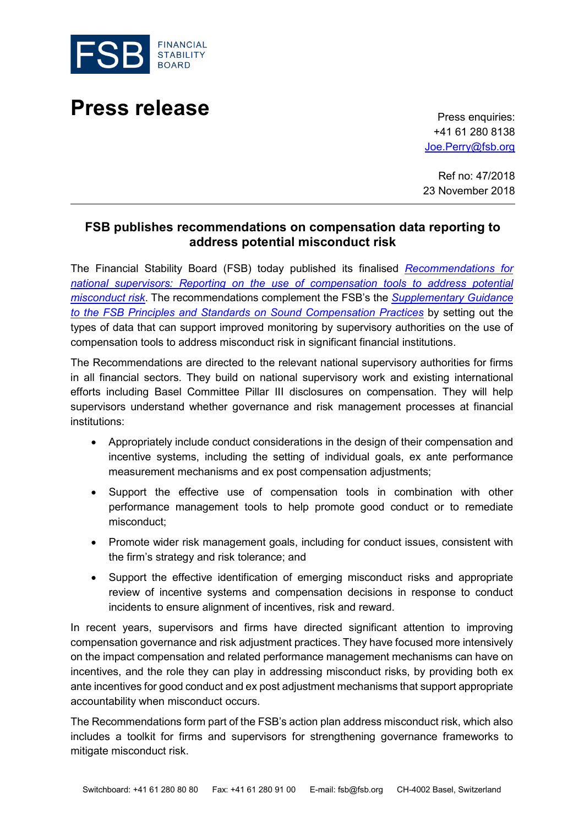

## **Press release** Press enquiries:

+41 61 280 8138 [Joe.Perry@fsb.org](mailto:Joe.Perry@fsb.org)

Ref no: 47/2018 23 November 2018

## **FSB publishes recommendations on compensation data reporting to address potential misconduct risk**

The Financial Stability Board (FSB) today published its finalised *[Recommendations for](http://www.fsb.org/2018/11/recommendations-for-national-supervisors-reporting-on-the-use-of-compensation-tools-to-address-potential-misconduct-risk/)  [national supervisors: Reporting on the use of compensation tools to address potential](http://www.fsb.org/2018/11/recommendations-for-national-supervisors-reporting-on-the-use-of-compensation-tools-to-address-potential-misconduct-risk/)  [misconduct](http://www.fsb.org/2018/11/recommendations-for-national-supervisors-reporting-on-the-use-of-compensation-tools-to-address-potential-misconduct-risk/) risk*. The recommendations complement the FSB's the *[Supplementary Guidance](http://www.fsb.org/2018/03/supplementary-guidance-to-the-fsb-principles-and-standards-on-sound-compensation-practices-2/)  [to the FSB Principles and Standards on Sound Compensation Practices](http://www.fsb.org/2018/03/supplementary-guidance-to-the-fsb-principles-and-standards-on-sound-compensation-practices-2/)* by setting out the types of data that can support improved monitoring by supervisory authorities on the use of compensation tools to address misconduct risk in significant financial institutions.

The Recommendations are directed to the relevant national supervisory authorities for firms in all financial sectors. They build on national supervisory work and existing international efforts including Basel Committee Pillar III disclosures on compensation. They will help supervisors understand whether governance and risk management processes at financial institutions:

- Appropriately include conduct considerations in the design of their compensation and incentive systems, including the setting of individual goals, ex ante performance measurement mechanisms and ex post compensation adjustments;
- Support the effective use of compensation tools in combination with other performance management tools to help promote good conduct or to remediate misconduct;
- Promote wider risk management goals, including for conduct issues, consistent with the firm's strategy and risk tolerance; and
- Support the effective identification of emerging misconduct risks and appropriate review of incentive systems and compensation decisions in response to conduct incidents to ensure alignment of incentives, risk and reward.

In recent years, supervisors and firms have directed significant attention to improving compensation governance and risk adjustment practices. They have focused more intensively on the impact compensation and related performance management mechanisms can have on incentives, and the role they can play in addressing misconduct risks, by providing both ex ante incentives for good conduct and ex post adjustment mechanisms that support appropriate accountability when misconduct occurs.

The Recommendations form part of the FSB's action plan address misconduct risk, which also includes a toolkit for firms and supervisors for strengthening governance frameworks to mitigate misconduct risk.